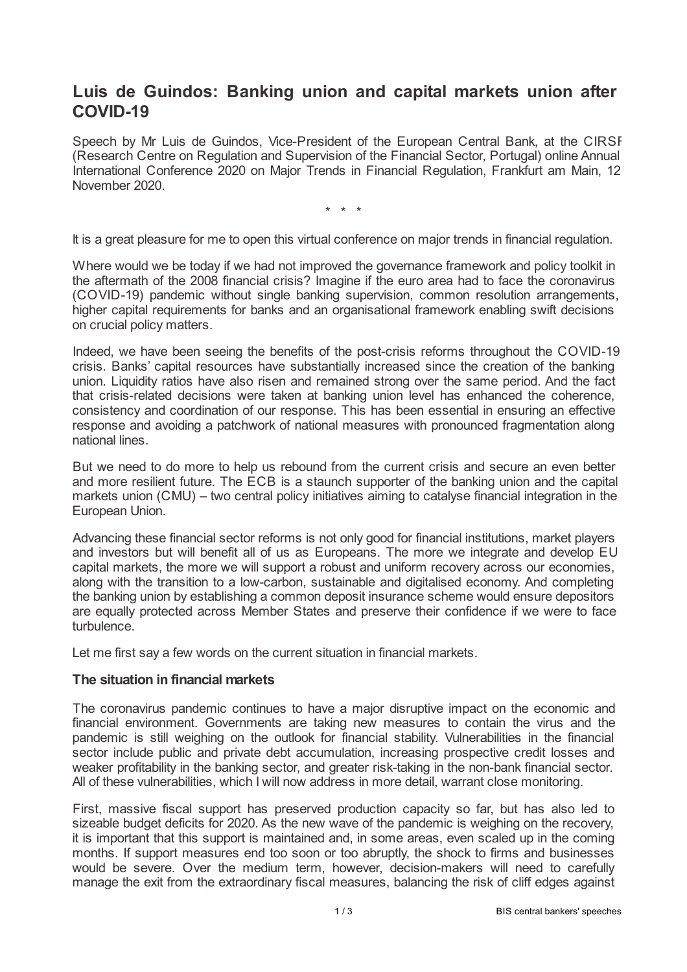# **Luis de Guindos: Banking union and capital markets union after COVID-19**

Speech by Mr Luis de Guindos, Vice-President of the European Central Bank, at the CIRSF (Research Centre on Regulation and Supervision of the Financial Sector, Portugal) online Annual International Conference 2020 on Major Trends in Financial Regulation, Frankfurt am Main, 12 November 2020.

\* \* \*

It is a great pleasure for me to open this virtual conference on major trends in financial regulation.

Where would we be today if we had not improved the governance framework and policy toolkit in the aftermath of the 2008 financial crisis? Imagine if the euro area had to face the coronavirus (COVID-19) pandemic without single banking supervision, common resolution arrangements, higher capital requirements for banks and an organisational framework enabling swift decisions on crucial policy matters.

Indeed, we have been seeing the benefits of the post-crisis reforms throughout the COVID-19 crisis. Banks' capital resources have substantially increased since the creation of the banking union. Liquidity ratios have also risen and remained strong over the same period. And the fact that crisis-related decisions were taken at banking union level has enhanced the coherence, consistency and coordination of our response. This has been essential in ensuring an effective response and avoiding a patchwork of national measures with pronounced fragmentation along national lines.

But we need to do more to help us rebound from the current crisis and secure an even better and more resilient future. The ECB is a staunch supporter of the banking union and the capital markets union (CMU) – two central policy initiatives aiming to catalyse financial integration in the European Union.

Advancing these financial sector reforms is not only good for financial institutions, market players and investors but will benefit all of us as Europeans. The more we integrate and develop EU capital markets, the more we will support a robust and uniform recovery across our economies, along with the transition to a low-carbon, sustainable and digitalised economy. And completing the banking union by establishing a common deposit insurance scheme would ensure depositors are equally protected across Member States and preserve their confidence if we were to face turbulence.

Let me first say a few words on the current situation in financial markets.

## **The situation in financial markets**

The coronavirus pandemic continues to have a major disruptive impact on the economic and financial environment. Governments are taking new measures to contain the virus and the pandemic is still weighing on the outlook for financial stability. Vulnerabilities in the financial sector include public and private debt accumulation, increasing prospective credit losses and weaker profitability in the banking sector, and greater risk-taking in the non-bank financial sector. All of these vulnerabilities, which I will now address in more detail, warrant close monitoring.

First, massive fiscal support has preserved production capacity so far, but has also led to sizeable budget deficits for 2020. As the new wave of the pandemic is weighing on the recovery, it is important that this support is maintained and, in some areas, even scaled up in the coming months. If support measures end too soon or too abruptly, the shock to firms and businesses would be severe. Over the medium term, however, decision-makers will need to carefully manage the exit from the extraordinary fiscal measures, balancing the risk of cliff edges against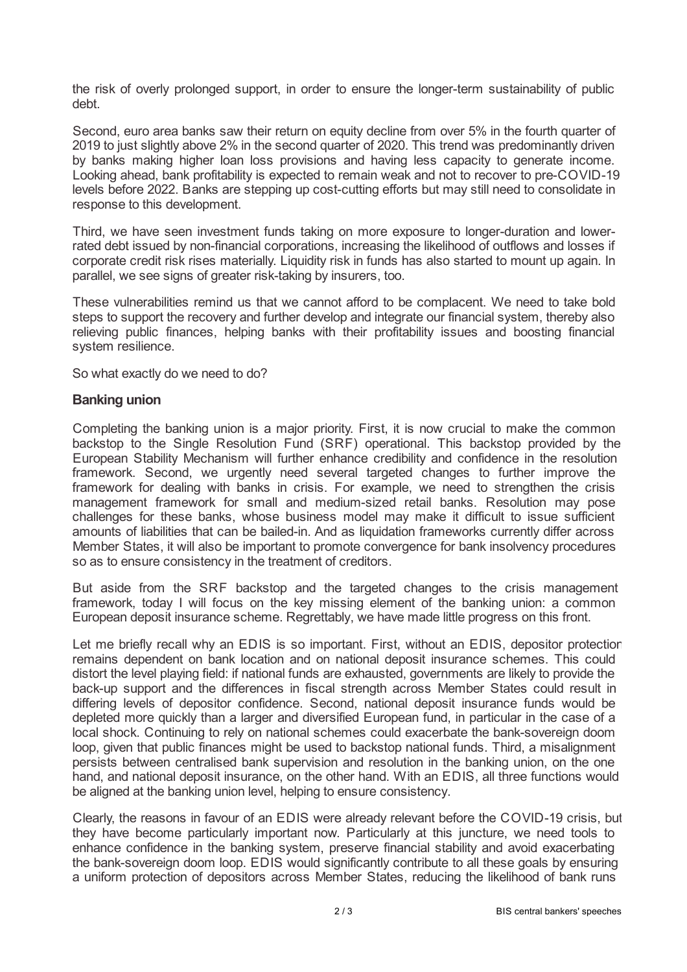the risk of overly prolonged support, in order to ensure the longer-term sustainability of public debt.

Second, euro area banks saw their return on equity decline from over 5% in the fourth quarter of 2019 to just slightly above 2% in the second quarter of 2020. This trend was predominantly driven by banks making higher loan loss provisions and having less capacity to generate income. Looking ahead, bank profitability is expected to remain weak and not to recover to pre-COVID-19 levels before 2022. Banks are stepping up cost-cutting efforts but may still need to consolidate in response to this development.

Third, we have seen investment funds taking on more exposure to longer-duration and lowerrated debt issued by non-financial corporations, increasing the likelihood of outflows and losses if corporate credit risk rises materially. Liquidity risk in funds has also started to mount up again. In parallel, we see signs of greater risk-taking by insurers, too.

These vulnerabilities remind us that we cannot afford to be complacent. We need to take bold steps to support the recovery and further develop and integrate our financial system, thereby also relieving public finances, helping banks with their profitability issues and boosting financial system resilience.

So what exactly do we need to do?

#### **Banking union**

Completing the banking union is a major priority. First, it is now crucial to make the common backstop to the Single Resolution Fund (SRF) operational. This backstop provided by the European Stability Mechanism will further enhance credibility and confidence in the resolution framework. Second, we urgently need several targeted changes to further improve the framework for dealing with banks in crisis. For example, we need to strengthen the crisis management framework for small and medium-sized retail banks. Resolution may pose challenges for these banks, whose business model may make it difficult to issue sufficient amounts of liabilities that can be bailed-in. And as liquidation frameworks currently differ across Member States, it will also be important to promote convergence for bank insolvency procedures so as to ensure consistency in the treatment of creditors.

But aside from the SRF backstop and the targeted changes to the crisis management framework, today I will focus on the key missing element of the banking union: a common European deposit insurance scheme. Regrettably, we have made little progress on this front.

Let me briefly recall why an EDIS is so important. First, without an EDIS, depositor protection remains dependent on bank location and on national deposit insurance schemes. This could distort the level playing field: if national funds are exhausted, governments are likely to provide the back-up support and the differences in fiscal strength across Member States could result in differing levels of depositor confidence. Second, national deposit insurance funds would be depleted more quickly than a larger and diversified European fund, in particular in the case of a local shock. Continuing to rely on national schemes could exacerbate the bank-sovereign doom loop, given that public finances might be used to backstop national funds. Third, a misalignment persists between centralised bank supervision and resolution in the banking union, on the one hand, and national deposit insurance, on the other hand. With an EDIS, all three functions would be aligned at the banking union level, helping to ensure consistency.

Clearly, the reasons in favour of an EDIS were already relevant before the COVID-19 crisis, but they have become particularly important now. Particularly at this juncture, we need tools to enhance confidence in the banking system, preserve financial stability and avoid exacerbating the bank-sovereign doom loop. EDIS would significantly contribute to all these goals by ensuring a uniform protection of depositors across Member States, reducing the likelihood of bank runs